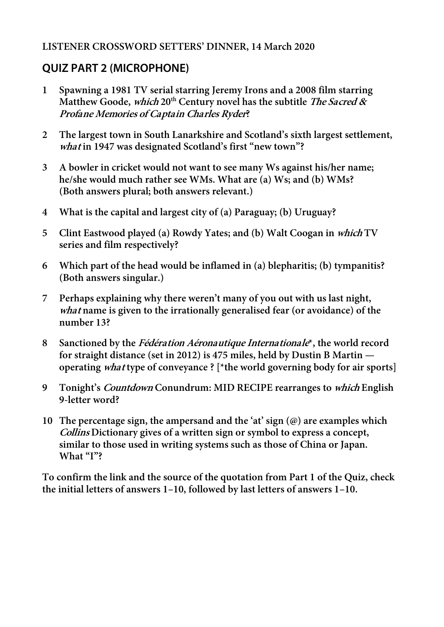## **LISTENER CROSSWORD SETTERS' DINNER, 14 March 2020**

## **QUIZ PART 2 (MICROPHONE)**

- **1 Spawning a 1981 TV serial starring Jeremy Irons and a 2008 film starring Matthew Goode, which 20th Century novel has the subtitle The Sacred & Profane Memories of Captain Charles Ryder?**
- **2 The largest town in South Lanarkshire and Scotland's sixth largest settlement, what in 1947 was designated Scotland's first "new town"?**
- **3 A bowler in cricket would not want to see many Ws against his/her name; he/she would much rather see WMs. What are (a) Ws; and (b) WMs? (Both answers plural; both answers relevant.)**
- **4 What is the capital and largest city of (a) Paraguay; (b) Uruguay?**
- **5 Clint Eastwood played (a) Rowdy Yates; and (b) Walt Coogan in which TV series and film respectively?**
- **6 Which part of the head would be inflamed in (a) blepharitis; (b) tympanitis? (Both answers singular.)**
- **7 Perhaps explaining why there weren't many of you out with us last night, what name is given to the irrationally generalised fear (or avoidance) of the number 13?**
- **8 Sanctioned by the Fédération Aéronautique Internationale\*, the world record for straight distance (set in 2012) is 475 miles, held by Dustin B Martin operating what type of conveyance ? [\*the world governing body for air sports]**
- **9 Tonight's Countdown Conundrum: MID RECIPE rearranges to which English 9-letter word?**
- **10 The percentage sign, the ampersand and the 'at' sign (@) are examples which Collins Dictionary gives of a written sign or symbol to express a concept, similar to those used in writing systems such as those of China or Japan. What "I"?**

**To confirm the link and the source of the quotation from Part 1 of the Quiz, check the initial letters of answers 1–10, followed by last letters of answers 1–10.**